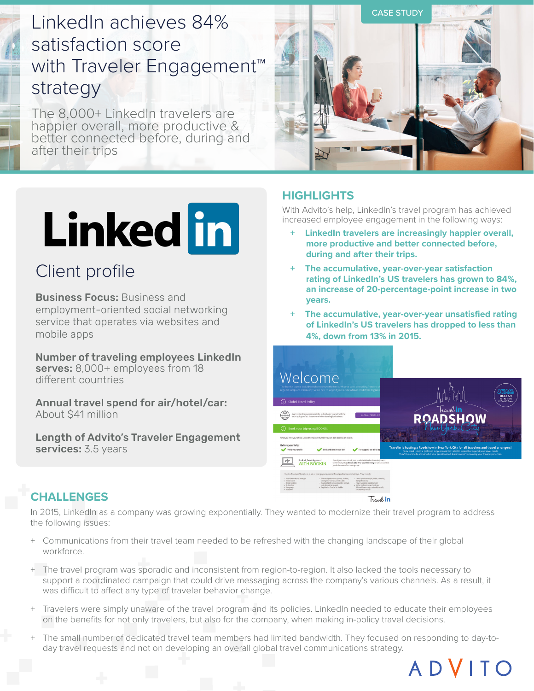# LinkedIn achieves 84% satisfaction score with Traveler Engagement<sup>™</sup> strategy

The 8,000+ LinkedIn travelers are happier overall, more productive & better connected before, during and after their trips



# Linked in

## Client profile

Business Focus: Business and employment-oriented social networking service that operates via websites and mobile apps

Number of traveling employees LinkedIn serves: 8,000+ employees from 18 different countries

Annual travel spend for air/hotel/car: About \$41 million

Length of Advito's Traveler Engagement services: 3.5 years

## **HIGHLIGHTS**

With Advito's help, LinkedIn's travel program has achieved increased employee engagement in the following ways:

- **+ LinkedIn travelers are increasingly happier overall, more productive and better connected before, during and after their trips.**
- **+ The accumulative, year-over-year satisfaction rating of LinkedIn's US travelers has grown to 84%, an increase of 20-percentage-point increase in two years.**
- **+ The accumulative, year-over-year unsatisfied rating of LinkedIn's US travelers has dropped to less than 4%, down from 13% in 2015.**



ADVITO

## **CHALLENGES**

In 2015, LinkedIn as a company was growing exponentially. They wanted to modernize their travel program to address the following issues:

- + Communications from their travel team needed to be refreshed with the changing landscape of their global workforce.
- + The travel program was sporadic and inconsistent from region-to-region. It also lacked the tools necessary to support a coordinated campaign that could drive messaging across the company's various channels. As a result, it was difficult to affect any type of traveler behavior change.
- + Travelers were simply unaware of the travel program and its policies. LinkedIn needed to educate their employees on the benefits for not only travelers, but also for the company, when making in-policy travel decisions.
- + The small number of dedicated travel team members had limited bandwidth. They focused on responding to day-today travel requests and not on developing an overall global travel communications strategy.